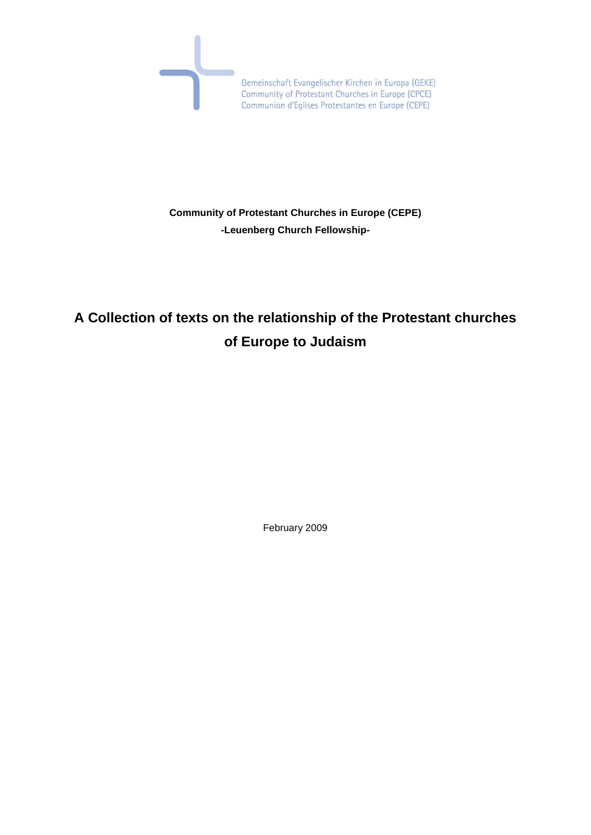

### **Community of Protestant Churches in Europe (CEPE) -Leuenberg Church Fellowship-**

# **A Collection of texts on the relationship of the Protestant churches of Europe to Judaism**

February 2009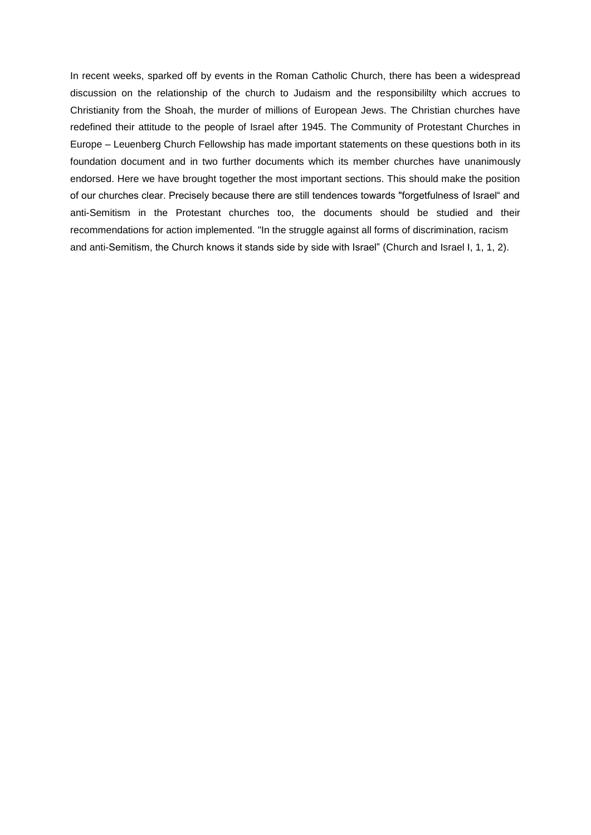In recent weeks, sparked off by events in the Roman Catholic Church, there has been a widespread discussion on the relationship of the church to Judaism and the responsibililty which accrues to Christianity from the Shoah, the murder of millions of European Jews. The Christian churches have redefined their attitude to the people of Israel after 1945. The Community of Protestant Churches in Europe – Leuenberg Church Fellowship has made important statements on these questions both in its foundation document and in two further documents which its member churches have unanimously endorsed. Here we have brought together the most important sections. This should make the position of our churches clear. Precisely because there are still tendences towards "forgetfulness of Israel" and anti-Semitism in the Protestant churches too, the documents should be studied and their recommendations for action implemented. "In the struggle against all forms of discrimination, racism and anti-Semitism, the Church knows it stands side by side with Israel" (Church and Israel I, 1, 1, 2).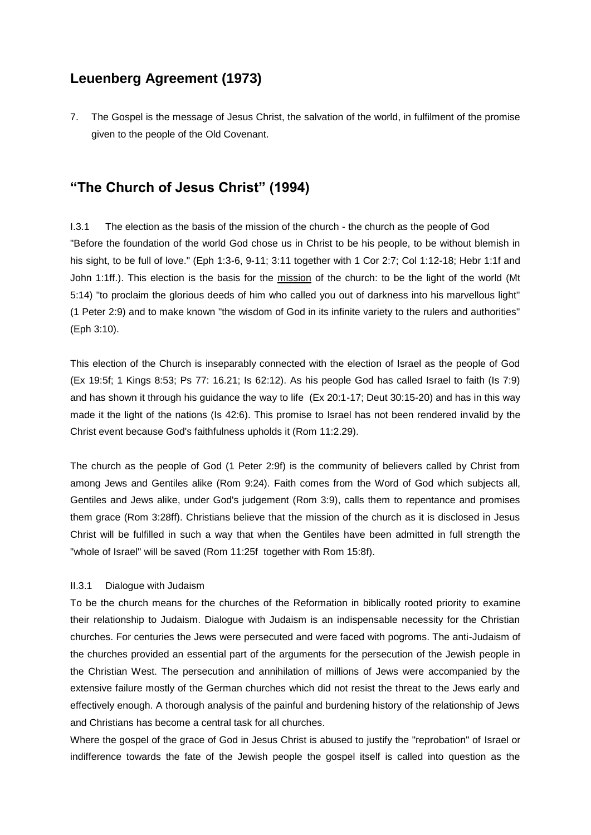### **Leuenberg Agreement (1973)**

7. The Gospel is the message of Jesus Christ, the salvation of the world, in fulfilment of the promise given to the people of the Old Covenant.

### **"The Church of Jesus Christ" (1994)**

I.3.1 The election as the basis of the mission of the church - the church as the people of God "Before the foundation of the world God chose us in Christ to be his people, to be without blemish in his sight, to be full of love." (Eph 1:3-6, 9-11; 3:11 together with 1 Cor 2:7; Col 1:12-18; Hebr 1:1f and John 1:1ff.). This election is the basis for the mission of the church: to be the light of the world (Mt 5:14) "to proclaim the glorious deeds of him who called you out of darkness into his marvellous light" (1 Peter 2:9) and to make known "the wisdom of God in its infinite variety to the rulers and authorities" (Eph 3:10).

This election of the Church is inseparably connected with the election of Israel as the people of God (Ex 19:5f; 1 Kings 8:53; Ps 77: 16.21; Is 62:12). As his people God has called Israel to faith (Is 7:9) and has shown it through his guidance the way to life (Ex 20:1-17; Deut 30:15-20) and has in this way made it the light of the nations (Is 42:6). This promise to Israel has not been rendered invalid by the Christ event because God's faithfulness upholds it (Rom 11:2.29).

The church as the people of God (1 Peter 2:9f) is the community of believers called by Christ from among Jews and Gentiles alike (Rom 9:24). Faith comes from the Word of God which subjects all, Gentiles and Jews alike, under God's judgement (Rom 3:9), calls them to repentance and promises them grace (Rom 3:28ff). Christians believe that the mission of the church as it is disclosed in Jesus Christ will be fulfilled in such a way that when the Gentiles have been admitted in full strength the "whole of Israel" will be saved (Rom 11:25f together with Rom 15:8f).

### II.3.1 Dialogue with Judaism

To be the church means for the churches of the Reformation in biblically rooted priority to examine their relationship to Judaism. Dialogue with Judaism is an indispensable necessity for the Christian churches. For centuries the Jews were persecuted and were faced with pogroms. The anti-Judaism of the churches provided an essential part of the arguments for the persecution of the Jewish people in the Christian West. The persecution and annihilation of millions of Jews were accompanied by the extensive failure mostly of the German churches which did not resist the threat to the Jews early and effectively enough. A thorough analysis of the painful and burdening history of the relationship of Jews and Christians has become a central task for all churches.

Where the gospel of the grace of God in Jesus Christ is abused to justify the "reprobation" of Israel or indifference towards the fate of the Jewish people the gospel itself is called into question as the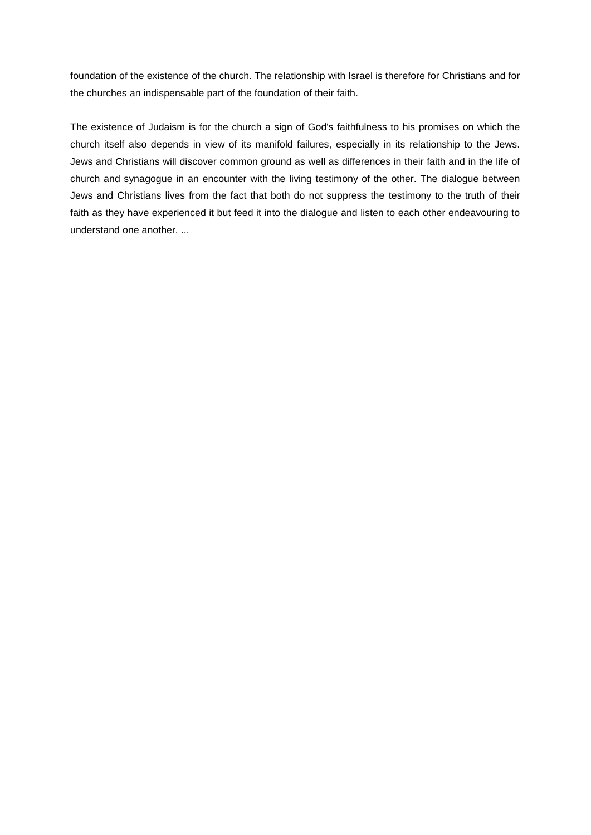foundation of the existence of the church. The relationship with Israel is therefore for Christians and for the churches an indispensable part of the foundation of their faith.

The existence of Judaism is for the church a sign of God's faithfulness to his promises on which the church itself also depends in view of its manifold failures, especially in its relationship to the Jews. Jews and Christians will discover common ground as well as differences in their faith and in the life of church and synagogue in an encounter with the living testimony of the other. The dialogue between Jews and Christians lives from the fact that both do not suppress the testimony to the truth of their faith as they have experienced it but feed it into the dialogue and listen to each other endeavouring to understand one another. ...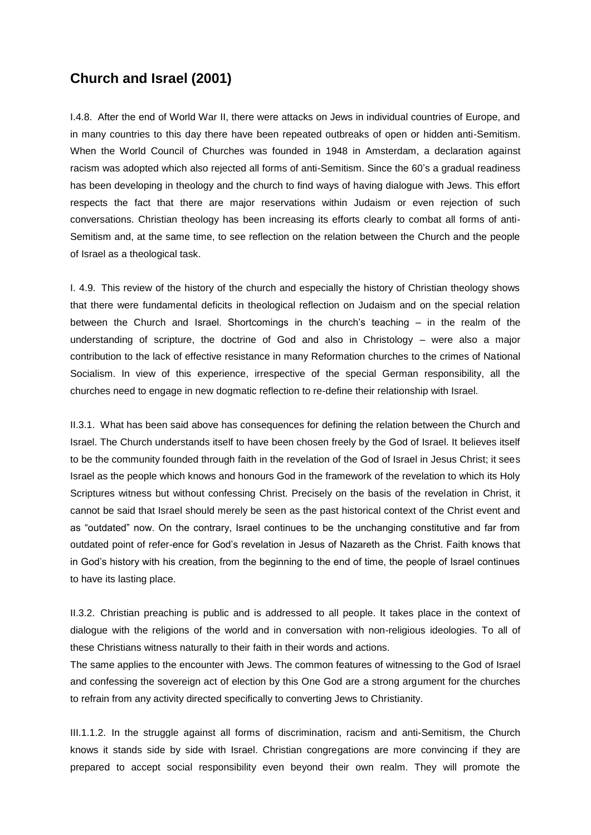### **Church and Israel (2001)**

I.4.8. After the end of World War II, there were attacks on Jews in individual countries of Europe, and in many countries to this day there have been repeated outbreaks of open or hidden anti-Semitism. When the World Council of Churches was founded in 1948 in Amsterdam, a declaration against racism was adopted which also rejected all forms of anti-Semitism. Since the 60"s a gradual readiness has been developing in theology and the church to find ways of having dialogue with Jews. This effort respects the fact that there are major reservations within Judaism or even rejection of such conversations. Christian theology has been increasing its efforts clearly to combat all forms of anti-Semitism and, at the same time, to see reflection on the relation between the Church and the people of Israel as a theological task.

I. 4.9. This review of the history of the church and especially the history of Christian theology shows that there were fundamental deficits in theological reflection on Judaism and on the special relation between the Church and Israel. Shortcomings in the church"s teaching – in the realm of the understanding of scripture, the doctrine of God and also in Christology – were also a major contribution to the lack of effective resistance in many Reformation churches to the crimes of National Socialism. In view of this experience, irrespective of the special German responsibility, all the churches need to engage in new dogmatic reflection to re-define their relationship with Israel.

II.3.1. What has been said above has consequences for defining the relation between the Church and Israel. The Church understands itself to have been chosen freely by the God of Israel. It believes itself to be the community founded through faith in the revelation of the God of Israel in Jesus Christ; it sees Israel as the people which knows and honours God in the framework of the revelation to which its Holy Scriptures witness but without confessing Christ. Precisely on the basis of the revelation in Christ, it cannot be said that Israel should merely be seen as the past historical context of the Christ event and as "outdated" now. On the contrary, Israel continues to be the unchanging constitutive and far from outdated point of refer-ence for God"s revelation in Jesus of Nazareth as the Christ. Faith knows that in God"s history with his creation, from the beginning to the end of time, the people of Israel continues to have its lasting place.

II.3.2. Christian preaching is public and is addressed to all people. It takes place in the context of dialogue with the religions of the world and in conversation with non-religious ideologies. To all of these Christians witness naturally to their faith in their words and actions.

The same applies to the encounter with Jews. The common features of witnessing to the God of Israel and confessing the sovereign act of election by this One God are a strong argument for the churches to refrain from any activity directed specifically to converting Jews to Christianity.

III.1.1.2. In the struggle against all forms of discrimination, racism and anti-Semitism, the Church knows it stands side by side with Israel. Christian congregations are more convincing if they are prepared to accept social responsibility even beyond their own realm. They will promote the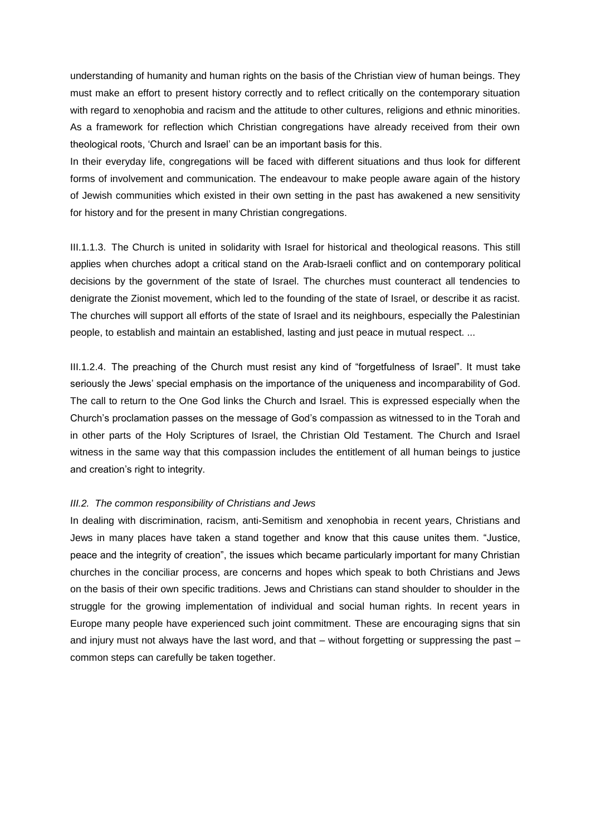understanding of humanity and human rights on the basis of the Christian view of human beings. They must make an effort to present history correctly and to reflect critically on the contemporary situation with regard to xenophobia and racism and the attitude to other cultures, religions and ethnic minorities. As a framework for reflection which Christian congregations have already received from their own theological roots, "Church and Israel" can be an important basis for this.

In their everyday life, congregations will be faced with different situations and thus look for different forms of involvement and communication. The endeavour to make people aware again of the history of Jewish communities which existed in their own setting in the past has awakened a new sensitivity for history and for the present in many Christian congregations.

III.1.1.3. The Church is united in solidarity with Israel for historical and theological reasons. This still applies when churches adopt a critical stand on the Arab-Israeli conflict and on contemporary political decisions by the government of the state of Israel. The churches must counteract all tendencies to denigrate the Zionist movement, which led to the founding of the state of Israel, or describe it as racist. The churches will support all efforts of the state of Israel and its neighbours, especially the Palestinian people, to establish and maintain an established, lasting and just peace in mutual respect. ...

III.1.2.4. The preaching of the Church must resist any kind of "forgetfulness of Israel". It must take seriously the Jews" special emphasis on the importance of the uniqueness and incomparability of God. The call to return to the One God links the Church and Israel. This is expressed especially when the Church"s proclamation passes on the message of God"s compassion as witnessed to in the Torah and in other parts of the Holy Scriptures of Israel, the Christian Old Testament. The Church and Israel witness in the same way that this compassion includes the entitlement of all human beings to justice and creation"s right to integrity.

#### *III.2. The common responsibility of Christians and Jews*

In dealing with discrimination, racism, anti-Semitism and xenophobia in recent years, Christians and Jews in many places have taken a stand together and know that this cause unites them. "Justice, peace and the integrity of creation", the issues which became particularly important for many Christian churches in the conciliar process, are concerns and hopes which speak to both Christians and Jews on the basis of their own specific traditions. Jews and Christians can stand shoulder to shoulder in the struggle for the growing implementation of individual and social human rights. In recent years in Europe many people have experienced such joint commitment. These are encouraging signs that sin and injury must not always have the last word, and that – without forgetting or suppressing the past – common steps can carefully be taken together.